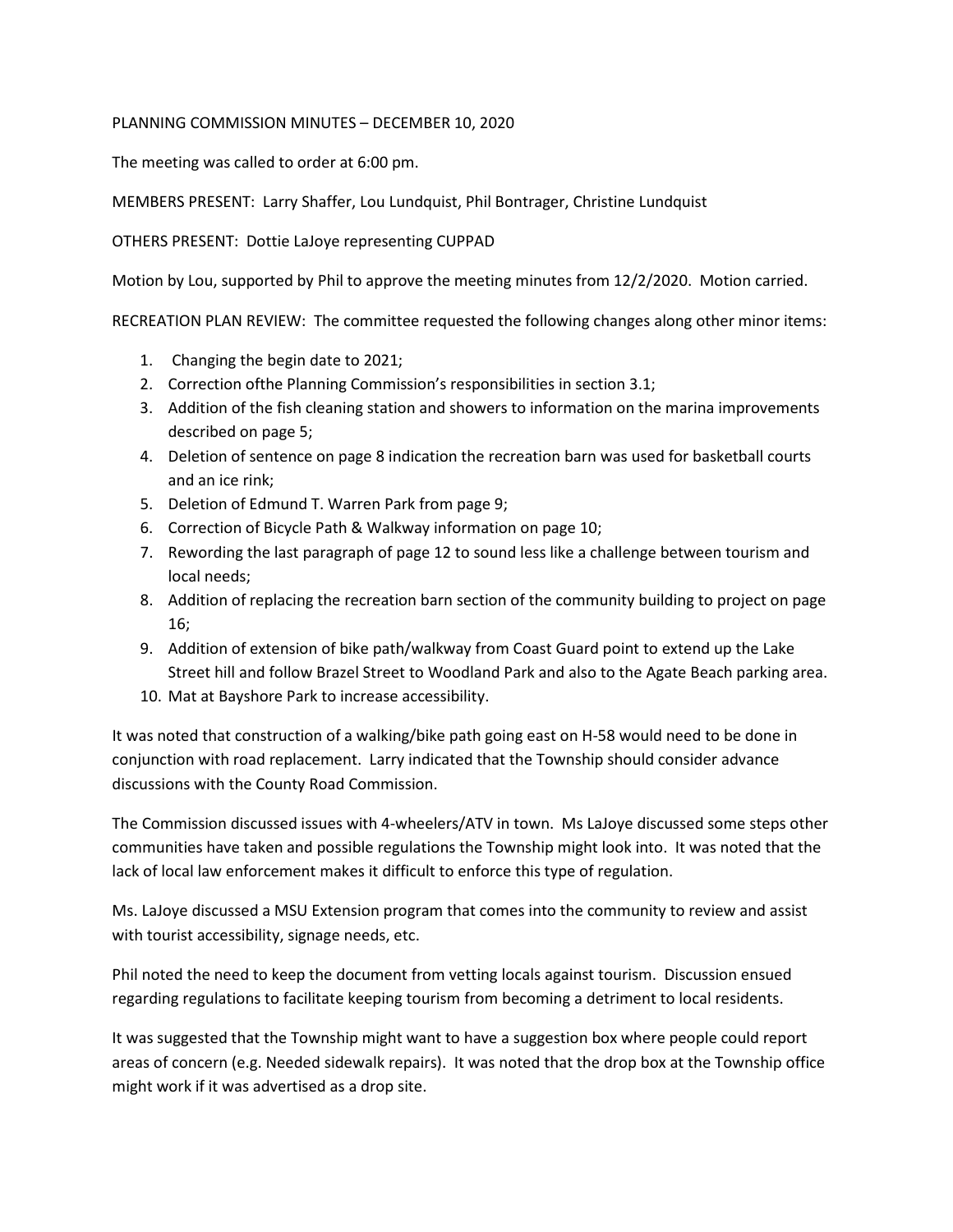## PLANNING COMMISSION MINUTES – DECEMBER 10, 2020

The meeting was called to order at 6:00 pm.

MEMBERS PRESENT: Larry Shaffer, Lou Lundquist, Phil Bontrager, Christine Lundquist

OTHERS PRESENT: Dottie LaJoye representing CUPPAD

Motion by Lou, supported by Phil to approve the meeting minutes from 12/2/2020. Motion carried.

RECREATION PLAN REVIEW: The committee requested the following changes along other minor items:

- 1. Changing the begin date to 2021;
- 2. Correction ofthe Planning Commission's responsibilities in section 3.1;
- 3. Addition of the fish cleaning station and showers to information on the marina improvements described on page 5;
- 4. Deletion of sentence on page 8 indication the recreation barn was used for basketball courts and an ice rink;
- 5. Deletion of Edmund T. Warren Park from page 9;
- 6. Correction of Bicycle Path & Walkway information on page 10;
- 7. Rewording the last paragraph of page 12 to sound less like a challenge between tourism and local needs;
- 8. Addition of replacing the recreation barn section of the community building to project on page 16;
- 9. Addition of extension of bike path/walkway from Coast Guard point to extend up the Lake Street hill and follow Brazel Street to Woodland Park and also to the Agate Beach parking area.
- 10. Mat at Bayshore Park to increase accessibility.

It was noted that construction of a walking/bike path going east on H-58 would need to be done in conjunction with road replacement. Larry indicated that the Township should consider advance discussions with the County Road Commission.

The Commission discussed issues with 4-wheelers/ATV in town. Ms LaJoye discussed some steps other communities have taken and possible regulations the Township might look into. It was noted that the lack of local law enforcement makes it difficult to enforce this type of regulation.

Ms. LaJoye discussed a MSU Extension program that comes into the community to review and assist with tourist accessibility, signage needs, etc.

Phil noted the need to keep the document from vetting locals against tourism. Discussion ensued regarding regulations to facilitate keeping tourism from becoming a detriment to local residents.

It was suggested that the Township might want to have a suggestion box where people could report areas of concern (e.g. Needed sidewalk repairs). It was noted that the drop box at the Township office might work if it was advertised as a drop site.